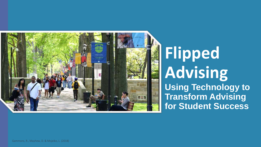

# **Flipped Advising Using Technology to**

**Transform Advising for Student Success**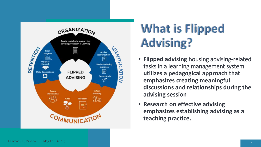

# **What is Flipped Advising?**

- **Flipped advising** housing advising-related tasks in a learning management system **utilizes a pedagogical approach that emphasizes creating meaningful discussions and relationships during the advising session**
- **Research on effective advising emphasizes establishing advising as a teaching practice.**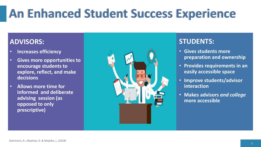# **An Enhanced Student Success Experience**

#### **ADVISORS:**

- **Increases efficiency**
- **Gives more opportunities to encourage students to explore, reflect, and make decisions**
- **Allows more time for informed and deliberate advising session (as opposed to only prescriptive)**



#### **STUDENTS:**

- **Gives students more preparation and ownership**
- **Provides requirements in an easily accessible space**
- **Improve students/advisor interaction**
- **Makes advisors** *and college* **more accessible**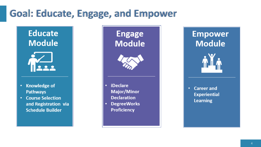### Goal: Educate, Engage, and Empower

• **iDeclare** 

**Proficiency**

### **Educate Module**



- **Knowledge of**   $\bullet$  .
- **Course Selection** and Registration via **Schedule Builder**

**Engage**<br>Module **Module Empower Module** 



**Experiential** 

**Learning**

- iDeclare • **Career and Major/Minor Declaration**
- **Declaration DegreeWorks**  $\bullet$ • **DegreeWorks**

**Empower Module** 



 $\bullet$ **Career and Experiential Learning**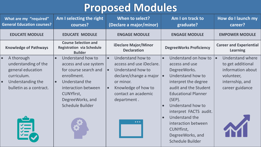## **Proposed Modules**

| What are my "required"<br><b>General Education courses?</b>                                                                         | Am I selecting the right<br>courses?                                                                                                                                                                         | When to select?<br>(Declare a major/minor)                                                                                                                                                                                          | Am I on track to<br>graduate?                                                                                                                                                                                                                                                                                                                                              | How do I launch my<br>career?                                                                                                      |
|-------------------------------------------------------------------------------------------------------------------------------------|--------------------------------------------------------------------------------------------------------------------------------------------------------------------------------------------------------------|-------------------------------------------------------------------------------------------------------------------------------------------------------------------------------------------------------------------------------------|----------------------------------------------------------------------------------------------------------------------------------------------------------------------------------------------------------------------------------------------------------------------------------------------------------------------------------------------------------------------------|------------------------------------------------------------------------------------------------------------------------------------|
| <b>EDUCATE MODULE</b>                                                                                                               | <b>EDUCATE MODULE</b>                                                                                                                                                                                        | <b>ENGAGE MODULE</b>                                                                                                                                                                                                                | <b>ENGAGE MODULE</b>                                                                                                                                                                                                                                                                                                                                                       | <b>EMPOWER MODULE</b>                                                                                                              |
| <b>Knowledge of Pathways</b>                                                                                                        | <b>Course Selection and</b><br><b>Registration via Schedule</b><br><b>Builder</b>                                                                                                                            | iDeclare Major/Minor<br><b>Declaration</b>                                                                                                                                                                                          | <b>DegreeWorks Proficiency</b>                                                                                                                                                                                                                                                                                                                                             | <b>Career and Experiential</b><br><b>Learning</b>                                                                                  |
| A thorough<br>understanding of the<br>general education<br>curriculum.<br>Understanding the<br>$\bullet$<br>bulletin as a contract. | Understand how to<br>access and use system<br>for course search and<br>enrollment.<br>Understand the<br>$\bullet$<br>interaction between<br><b>CUNYfirst,</b><br>DegreeWorks, and<br><b>Schedule Builder</b> | Understand how to<br>$\bullet$<br>access and use iDeclare.<br>Understand how to<br>declare/change a major $\cdot$<br>or minor.<br>Knowledge of how to<br>$\bullet$<br>contact an academic<br>department.<br>$\bullet\bullet\bullet$ | Understand on how to<br>$\bullet$<br>access and use<br>DegreeWorks.<br>Understand how to<br>interpret the degree<br>audit and the Student<br><b>Educational Planner</b><br>$(SEP)$ .<br>Understand how to<br>$\bullet$<br>interpret FACTS audit.<br>Understand the<br>$\bullet$<br>interaction between<br><b>CUNYfirst,</b><br>DegreeWorks, and<br><b>Schedule Builder</b> | <b>Understand where</b><br>$\bullet$<br>to get additional<br>information about<br>volunteer,<br>internship, and<br>career guidance |